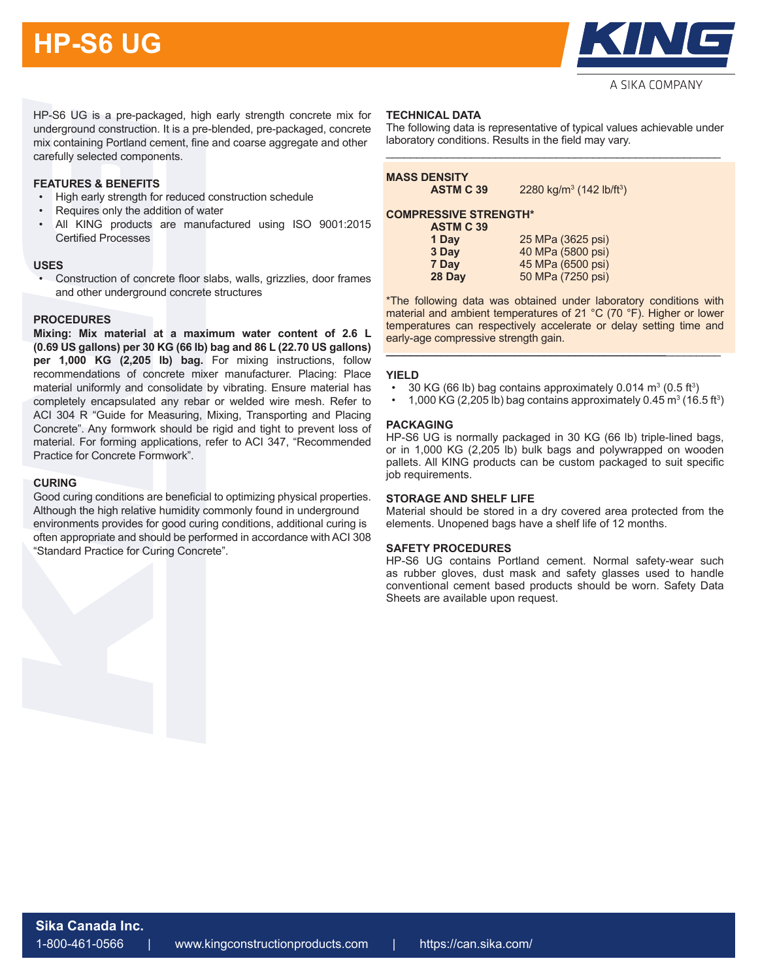# **HP-S6 UG**



HP-S6 UG is a pre-packaged, high early strength concrete mix for underground construction. It is a pre-blended, pre-packaged, concrete mix containing Portland cement, fine and coarse aggregate and other carefully selected components.

## **FEATURES & BENEFITS**

- High early strength for reduced construction schedule
- Requires only the addition of water
- All KING products are manufactured using ISO 9001:2015 Certified Processes

## **USES**

• Construction of concrete floor slabs, walls, grizzlies, door frames and other underground concrete structures

## **PROCEDURES**

**Mixing: Mix material at a maximum water content of 2.6 L (0.69 US gallons) per 30 KG (66 lb) bag and 86 L (22.70 US gallons) per 1,000 KG (2,205 lb) bag.** For mixing instructions, follow recommendations of concrete mixer manufacturer. Placing: Place material uniformly and consolidate by vibrating. Ensure material has completely encapsulated any rebar or welded wire mesh. Refer to ACI 304 R "Guide for Measuring, Mixing, Transporting and Placing Concrete". Any formwork should be rigid and tight to prevent loss of material. For forming applications, refer to ACI 347, "Recommended Practice for Concrete Formwork".

## **CURING**

Good curing conditions are beneficial to optimizing physical properties. Although the high relative humidity commonly found in underground environments provides for good curing conditions, additional curing is often appropriate and should be performed in accordance with ACI 308 "Standard Practice for Curing Concrete".

## **TECHNICAL DATA**

The following data is representative of typical values achievable under laboratory conditions. Results in the field may vary. \_\_\_\_\_\_\_\_\_\_\_\_\_\_\_\_\_\_\_\_\_\_\_\_\_\_\_\_\_\_\_\_\_\_\_\_\_\_\_\_\_\_\_\_\_\_\_\_\_\_\_\_\_\_\_

| <b>MASS DENSITY</b><br><b>ASTM C 39</b> | 2280 kg/m <sup>3</sup> (142 lb/ft <sup>3</sup> ) |
|-----------------------------------------|--------------------------------------------------|
|                                         |                                                  |

## **COMPRESSIVE STRENGTH\***

| <b>ASTM C 39</b> |                   |
|------------------|-------------------|
| 1 Day            | 25 MPa (3625 psi) |
| 3 Day            | 40 MPa (5800 psi) |
| 7 Day            | 45 MPa (6500 psi) |
| 28 Day           | 50 MPa (7250 psi) |

\*The following data was obtained under laboratory conditions with material and ambient temperatures of 21 °C (70 °F). Higher or lower temperatures can respectively accelerate or delay setting time and early-age compressive strength gain.

## **YIELD**

•  $\,$  30 KG (66 lb) bag contains approximately 0.014 m $^3$  (0.5 ft $^3)$ 

**\_\_\_\_\_\_\_\_\_\_\_\_\_\_\_\_\_\_\_\_\_\_\_\_\_\_\_\_\_\_\_\_\_\_\_\_\_\_\_\_\_\_\_\_\_\_**\_\_\_\_\_\_\_\_\_

• 1,000 KG (2,205 lb) bag contains approximately 0.45  $\text{m}^3$  (16.5 ft<sup>3</sup>)

## **PACKAGING**

HP-S6 UG is normally packaged in 30 KG (66 lb) triple-lined bags, or in 1,000 KG (2,205 lb) bulk bags and polywrapped on wooden pallets. All KING products can be custom packaged to suit specific job requirements.

## **STORAGE AND SHELF LIFE**

Material should be stored in a dry covered area protected from the elements. Unopened bags have a shelf life of 12 months.

## **SAFETY PROCEDURES**

HP-S6 UG contains Portland cement. Normal safety-wear such as rubber gloves, dust mask and safety glasses used to handle conventional cement based products should be worn. Safety Data Sheets are available upon request.